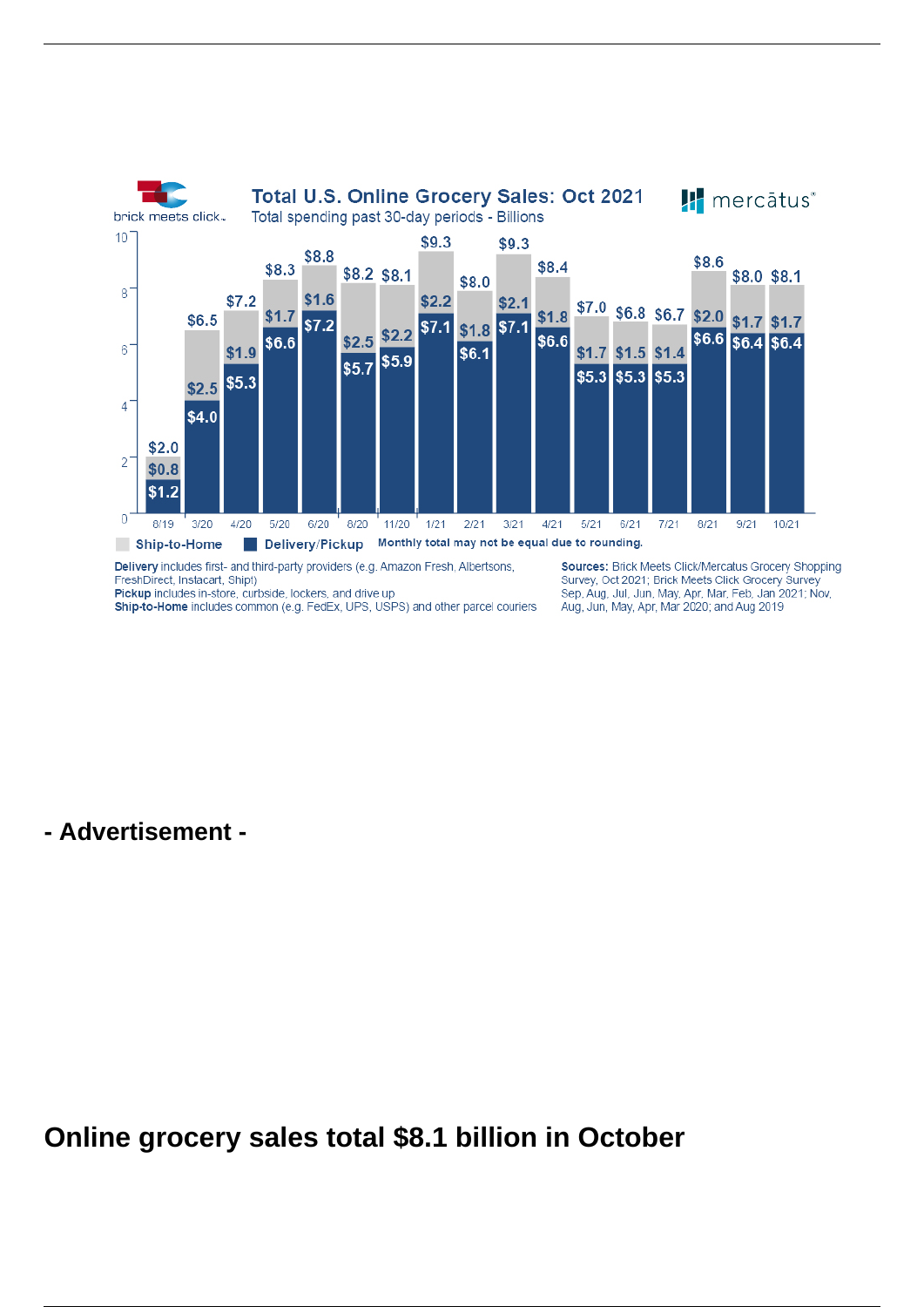

Pickup includes in-store, curbside, lockers, and drive up

Ship-to-Home includes common (e.g. FedEx, UPS, USPS) and other parcel couriers

Survey, Oct 2021; Brick Meets Click Grocery Survey Sep, Aug. Jul. Jun. May, Apr. Mar. Feb. Jan 2021; Nov. Aug, Jun, May, Apr, Mar 2020; and Aug 2019

**- Advertisement -**

**Online grocery sales total \$8.1 billion in October**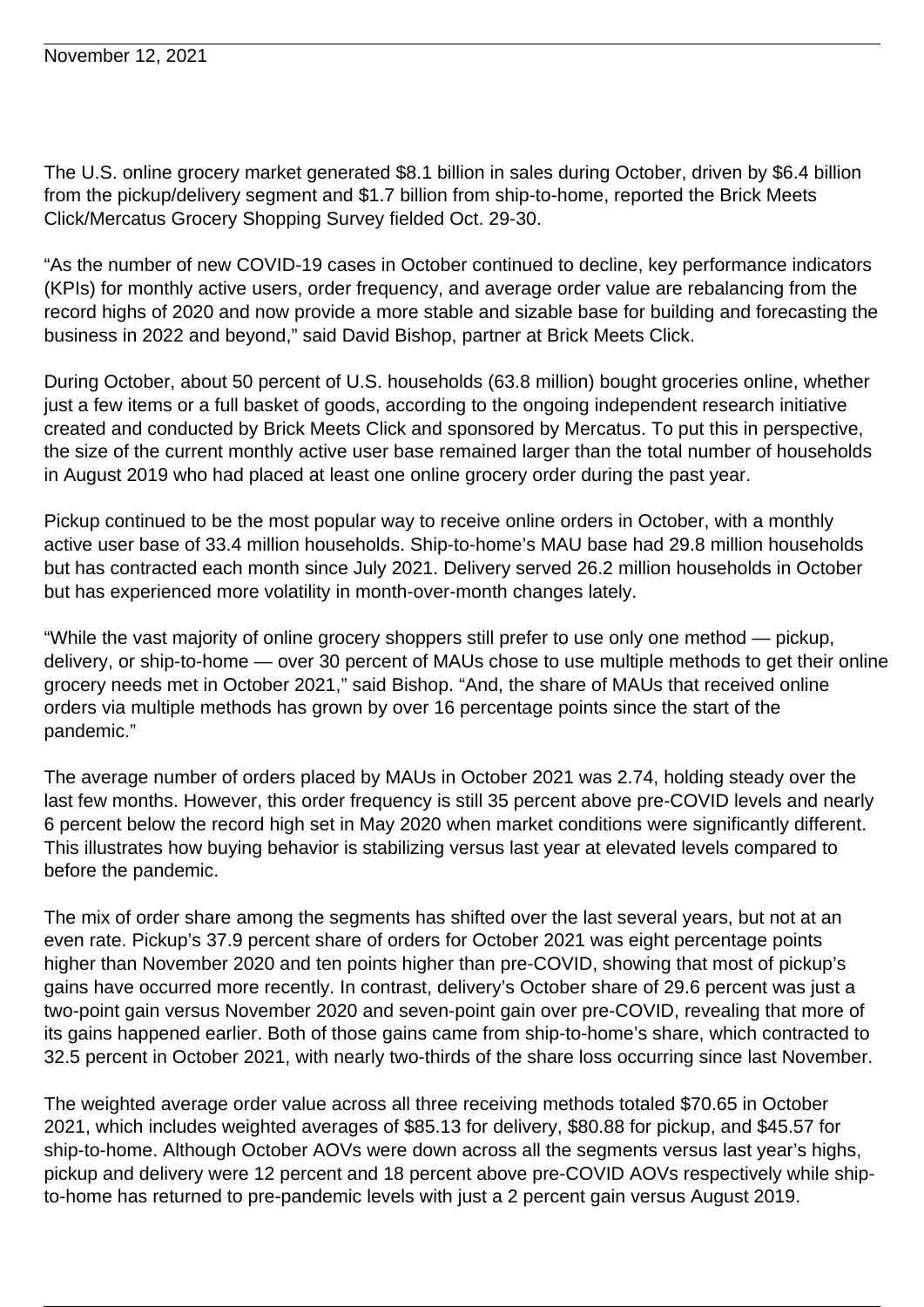The U.S. online grocery market generated \$8.1 billion in sales during October, driven by \$6.4 billion from the pickup/delivery segment and \$1.7 billion from ship-to-home, reported the Brick Meets Click/Mercatus Grocery Shopping Survey fielded Oct. 29-30.

"As the number of new COVID-19 cases in October continued to decline, key performance indicators (KPIs) for monthly active users, order frequency, and average order value are rebalancing from the record highs of 2020 and now provide a more stable and sizable base for building and forecasting the business in 2022 and beyond," said David Bishop, partner at Brick Meets Click.

During October, about 50 percent of U.S. households (63.8 million) bought groceries online, whether just a few items or a full basket of goods, according to the ongoing independent research initiative created and conducted by Brick Meets Click and sponsored by Mercatus. To put this in perspective, the size of the current monthly active user base remained larger than the total number of households in August 2019 who had placed at least one online grocery order during the past year.

Pickup continued to be the most popular way to receive online orders in October, with a monthly active user base of 33.4 million households. Ship-to-home's MAU base had 29.8 million households but has contracted each month since July 2021. Delivery served 26.2 million households in October but has experienced more volatility in month-over-month changes lately.

"While the vast majority of online grocery shoppers still prefer to use only one method — pickup, delivery, or ship-to-home — over 30 percent of MAUs chose to use multiple methods to get their online grocery needs met in October 2021," said Bishop. "And, the share of MAUs that received online orders via multiple methods has grown by over 16 percentage points since the start of the pandemic."

The average number of orders placed by MAUs in October 2021 was 2.74, holding steady over the last few months. However, this order frequency is still 35 percent above pre-COVID levels and nearly 6 percent below the record high set in May 2020 when market conditions were significantly different. This illustrates how buying behavior is stabilizing versus last year at elevated levels compared to before the pandemic.

The mix of order share among the segments has shifted over the last several years, but not at an even rate. Pickup's 37.9 percent share of orders for October 2021 was eight percentage points higher than November 2020 and ten points higher than pre-COVID, showing that most of pickup's gains have occurred more recently. In contrast, delivery's October share of 29.6 percent was just a two-point gain versus November 2020 and seven-point gain over pre-COVID, revealing that more of its gains happened earlier. Both of those gains came from ship-to-home's share, which contracted to 32.5 percent in October 2021, with nearly two-thirds of the share loss occurring since last November.

The weighted average order value across all three receiving methods totaled \$70.65 in October 2021, which includes weighted averages of \$85.13 for delivery, \$80.88 for pickup, and \$45.57 for ship-to-home. Although October AOVs were down across all the segments versus last year's highs, pickup and delivery were 12 percent and 18 percent above pre-COVID AOVs respectively while shipto-home has returned to pre-pandemic levels with just a 2 percent gain versus August 2019.